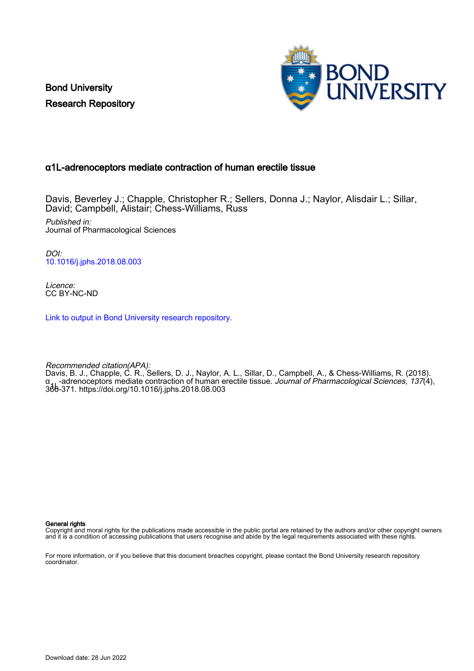Bond University Research Repository



# α1L-adrenoceptors mediate contraction of human erectile tissue

Davis, Beverley J.; Chapple, Christopher R.; Sellers, Donna J.; Naylor, Alisdair L.; Sillar, David; Campbell, Alistair; Chess-Williams, Russ

Published in: Journal of Pharmacological Sciences

DOI: [10.1016/j.jphs.2018.08.003](https://doi.org/10.1016/j.jphs.2018.08.003)

Licence: CC BY-NC-ND

[Link to output in Bond University research repository.](https://research.bond.edu.au/en/publications/639c3d52-699b-4342-a31e-40032a32c8e3)

Recommended citation(APA): Davis, B. J., Chapple, C. R., Sellers, D. J., Naylor, A. L., Sillar, D., Campbell, A., & Chess-Williams, R. (2018). α<sub>41</sub> -adrenoceptors mediate contraction of human erectile tissue. *Journal of Pharmacological Sciences, 137*(4),<br>366-371.<https://doi.org/10.1016/j.jphs.2018.08.003>

General rights

Copyright and moral rights for the publications made accessible in the public portal are retained by the authors and/or other copyright owners and it is a condition of accessing publications that users recognise and abide by the legal requirements associated with these rights.

For more information, or if you believe that this document breaches copyright, please contact the Bond University research repository coordinator.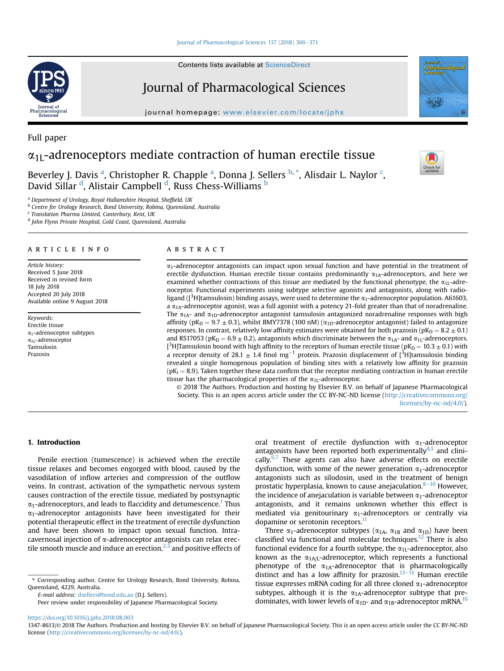### [Journal of Pharmacological Sciences 137 \(2018\) 366](https://doi.org/10.1016/j.jphs.2018.08.003)-[371](https://doi.org/10.1016/j.jphs.2018.08.003)

Contents lists available at ScienceDirect

# Journal of Pharmacological Sciences

journal homepage: [www.elsevier.com/locate/jphs](http://www.elsevier.com/locate/jphs)

# $\alpha_{1L}$ -adrenoceptors mediate contraction of human erectile tissue

Beverley J. Davis <sup>a</sup>, Christopher R. Chapple <sup>a</sup>, Donna J. Sellers <sup>b, \*</sup>, Alisdair L. Naylor <sup>c</sup>, David Sillar <sup>d</sup>, Alistair Campbell <sup>d</sup>, Russ Chess-Williams <sup>b</sup>

<sup>a</sup> Department of Urology, Royal Hallamshire Hospital, Sheffield, UK

**b** Centre for Urology Research, Bond University, Robina, Queensland, Australia

<sup>c</sup> Translation Pharma Limited, Canterbury, Kent, UK

<sup>d</sup> John Flynn Private Hospital, Gold Coast, Queensland, Australia

# article info

Article history: Received 5 June 2018 Received in revised form 18 July 2018 Accepted 20 July 2018 Available online 9 August 2018

Keywords: Erectile tissue  $\alpha_1$ -adrenoceptor subtypes  $\alpha_{1L}$ -adrenoceptor Tamsulosin Prazosin

#### **ABSTRACT**

 $\alpha_1$ -adrenoceptor antagonists can impact upon sexual function and have potential in the treatment of erectile dysfunction. Human erectile tissue contains predominantly  $\alpha_{1A}$ -adrenoceptors, and here we examined whether contractions of this tissue are mediated by the functional phenotype, the  $\alpha_{11}$ -adrenoceptor. Functional experiments using subtype selective agonists and antagonists, along with radioligand ([ ${}^{3}$ H]tamsulosin) binding assays, were used to determine the  $\alpha_{1}$ -adrenoceptor population. A61603, a  $\alpha_{1A}$ -adrenoceptor agonist, was a full agonist with a potency 21-fold greater than that of noradrenaline. The  $\alpha_{1A}$ - and  $\alpha_{1D}$ -adrenoceptor antagonist tamsulosin antagonized noradrenaline responses with high affinity ( $pK_D = 9.7 \pm 0.3$ ), whilst BMY7378 (100 nM) ( $\alpha_{1D}$ -adrenoceptor antagonist) failed to antagonize responses. In contrast, relatively low affinity estimates were obtained for both prazosin ( $pK_D = 8.2 \pm 0.1$ ) and RS17053 (pK<sub>D</sub> = 6.9  $\pm$  0.2), antagonists which discriminate between the  $\alpha_{1A}$ - and  $\alpha_{1L}$ -adrenoceptors. <sup>2</sup>H]Tamsulosin bound with high affinity to the receptors of human erectile tissue ( $pK_D = 10.3 \pm 0.1$ ) with a receptor density of 28.1  $\pm$  1.4 fmol mg<sup>-1</sup> protein. Prazosin displacement of [<sup>3</sup>H] tamsulosin binding revealed a single homogenous population of binding sites with a relatively low affinity for prazosin  $(pK<sub>i</sub> = 8.9)$ . Taken together these data confirm that the receptor mediating contraction in human erectile tissue has the pharmacological properties of the  $\alpha_{1L}$ -adrenoceptor.

© 2018 The Authors. Production and hosting by Elsevier B.V. on behalf of Japanese Pharmacological Society. This is an open access article under the CC BY-NC-ND license ([http://creativecommons.org/](http://creativecommons.org/licenses/by-nc-nd/4.0/) [licenses/by-nc-nd/4.0/](http://creativecommons.org/licenses/by-nc-nd/4.0/)).

#### 1. Introduction

Penile erection (tumescence) is achieved when the erectile tissue relaxes and becomes engorged with blood, caused by the vasodilation of inflow arteries and compression of the outflow veins. In contrast, activation of the sympathetic nervous system causes contraction of the erectile tissue, mediated by postsynaptic  $\alpha_1$ -adrenoceptors, and leads to flaccidity and detumescence.<sup>1</sup> Thus  $\alpha_1$ -adrenoceptor antagonists have been investigated for their potential therapeutic effect in the treatment of erectile dysfunction and have been shown to impact upon sexual function. Intracavernosal injection of a-adrenoceptor antagonists can relax erectile smooth muscle and induce an erection, $^{2,3}$  $^{2,3}$  $^{2,3}$  and positive effects of

E-mail address: [dsellers@bond.edu.au](mailto:dsellers@bond.edu.au) (D.J. Sellers).

Peer review under responsibility of Japanese Pharmacological Society.

oral treatment of erectile dysfunction with  $\alpha_1$ -adrenoceptor antagonists have been reported both experimentally $4.5$  and clinically. $6,7$  These agents can also have adverse effects on erectile dysfunction, with some of the newer generation  $\alpha_1$ -adrenoceptor antagonists such as silodosin, used in the treatment of benign prostatic hyperplasia, known to cause anejaculation. $8-10$  $8-10$  $8-10$  However, the incidence of anejaculation is variable between  $\alpha_1$ -adrenoceptor antagonists, and it remains unknown whether this effect is mediated via genitourinary  $\alpha_1$ -adrenoceptors or centrally via dopamine or serotonin receptors.<sup>11</sup>

Three  $\alpha_1$ -adrenoceptor subtypes ( $\alpha_{1A}$ ,  $\alpha_{1B}$  and  $\alpha_{1D}$ ) have been classified via functional and molecular techniques.<sup>[12](#page-6-0)</sup> There is also functional evidence for a fourth subtype, the  $\alpha_{1L}$ -adrenoceptor, also known as the  $\alpha_{1A/L}$ -adrenoceptor, which represents a functional phenotype of the  $\alpha_{1A}$ -adrenoceptor that is pharmacologically distinct and has a low affinity for prazosin. $13-\frac{15}{15}$  $13-\frac{15}{15}$  $13-\frac{15}{15}$  $13-\frac{15}{15}$  Human erectile tissue expresses mRNA coding for all three cloned  $\alpha_1$ -adrenoceptor subtypes, although it is the  $\alpha_{1A}$ -adrenoceptor subtype that predominates, with lower levels of  $\alpha_{1D}$ - and  $\alpha_{1B}$ -adrenoceptor mRNA.<sup>[16](#page-6-0)</sup>

<https://doi.org/10.1016/j.jphs.2018.08.003>



Full paper





<sup>\*</sup> Corresponding author. Centre for Urology Research, Bond University, Robina, Queensland, 4229, Australia.

<sup>1347-8613/</sup>© 2018 The Authors. Production and hosting by Elsevier B.V. on behalf of Japanese Pharmacological Society. This is an open access article under the CC BY-NC-ND license [\(http://creativecommons.org/licenses/by-nc-nd/4.0/](http://creativecommons.org/licenses/by-nc-nd/4.0/)).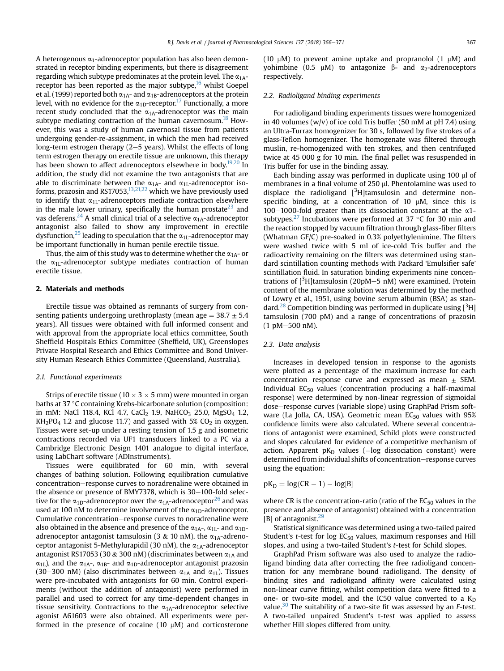A heterogenous  $\alpha_1$ -adrenoceptor population has also been demonstrated in receptor binding experiments, but there is disagreement regarding which subtype predominates at the protein level. The  $\alpha_{1A}$ -receptor has been reported as the major subtype,<sup>[16](#page-6-0)</sup> whilst Goepel et al. (1999) reported both  $\alpha_{1A}$ - and  $\alpha_{1B}$ -adrenoceptors at the protein level, with no evidence for the  $\alpha_{1D}$ -receptor.<sup>[17](#page-6-0)</sup> Functionally, a more recent study concluded that the  $\alpha_{1A}$ -adrenoceptor was the main subtype mediating contraction of the human cavernosum.<sup>[18](#page-6-0)</sup> However, this was a study of human cavernosal tissue from patients undergoing gender-re-assignment, in which the men had received long-term estrogen therapy  $(2-5$  years). Whilst the effects of long term estrogen therapy on erectile tissue are unknown, this therapy has been shown to affect adrenoceptors elsewhere in body.<sup>[19,20](#page-6-0)</sup> In addition, the study did not examine the two antagonists that are able to discriminate between the  $\alpha_{1A}$ - and  $\alpha_{1L}$ -adrenoceptor isoforms, prazosin and RS17053,  $\frac{13,21,22}{2}$  which we have previously used to identify that  $\alpha_{1L}$ -adrenoceptors mediate contraction elsewhere in the male lower urinary, specifically the human prostate<sup>23</sup> and vas deferens.<sup>[24](#page-6-0)</sup> A small clinical trial of a selective  $\alpha_{1A}$ -adrenoceptor antagonist also failed to show any improvement in erectile dysfunction,<sup>25</sup> leading to speculation that the  $\alpha_{1L}$ -adrenoceptor may be important functionally in human penile erectile tissue.

Thus, the aim of this study was to determine whether the  $\alpha_{1A}$ - or the  $\alpha_{1L}$ -adrenoceptor subtype mediates contraction of human erectile tissue.

# 2. Materials and methods

Erectile tissue was obtained as remnants of surgery from consenting patients undergoing urethroplasty (mean age  $=$  38.7  $\pm$  5.4 years). All tissues were obtained with full informed consent and with approval from the appropriate local ethics committee, South Sheffield Hospitals Ethics Committee (Sheffield, UK), Greenslopes Private Hospital Research and Ethics Committee and Bond University Human Research Ethics Committee (Queensland, Australia).

#### 2.1. Functional experiments

Strips of erectile tissue ( $10 \times 3 \times 5$  mm) were mounted in organ baths at 37 °C containing Krebs-bicarbonate solution (composition: in mM: NaCl 118.4, KCl 4.7, CaCl<sub>2</sub> 1.9, NaHCO<sub>3</sub> 25.0, MgSO<sub>4</sub> 1.2,  $KH<sub>2</sub>PO<sub>4</sub>$  1.2 and glucose 11.7) and gassed with 5% CO<sub>2</sub> in oxygen. Tissues were set-up under a resting tension of 1.5 g and isometric contractions recorded via UF1 transducers linked to a PC via a Cambridge Electronic Design 1401 analogue to digital interface, using LabChart software (ADInstruments).

Tissues were equilibrated for 60 min, with several changes of bathing solution. Following equilibration cumulative concentration–response curves to noradrenaline were obtained in the absence or presence of BMY7378, which is 30-100-fold selective for the  $\alpha_{1D}$ -adrenoceptor over the  $\alpha_{1A}$ -adrenoceptor<sup>26</sup> and was used at 100 nM to determine involvement of the  $\alpha_{1D}$ -adrenoceptor. Cumulative concentration-response curves to noradrenaline were also obtained in the absence and presence of the  $\alpha_{1A}$ -,  $\alpha_{1L}$ - and  $\alpha_{1D}$ adrenoceptor antagonist tamsulosin (3 & 10 nM), the  $\alpha_{1A}$ -adrenoceptor antagonist 5-Methylurapidil (30 nM), the  $\alpha_{1A}$ -adrenoceptor antagonist RS17053 (30 & 300 nM) (discriminates between  $\alpha_{1A}$  and  $\alpha_{1L}$ ), and the  $\alpha_{1A}$ -,  $\alpha_{1B}$ - and  $\alpha_{1D}$ -adrenoceptor antagonist prazosin (30–300 nM) (also discriminates between  $\alpha_{1A}$  and  $\alpha_{1L}$ ). Tissues were pre-incubated with antagonists for 60 min. Control experiments (without the addition of antagonist) were performed in parallel and used to correct for any time-dependent changes in tissue sensitivity. Contractions to the  $\alpha_{1A}$ -adrenoceptor selective agonist A61603 were also obtained. All experiments were performed in the presence of cocaine (10  $\mu$ M) and corticosterone (10  $\mu$ M) to prevent amine uptake and propranolol (1  $\mu$ M) and yohimbine (0.5  $\mu$ M) to antagonize  $\beta$ - and  $\alpha$ <sub>2</sub>-adrenoceptors respectively.

#### 2.2. Radioligand binding experiments

For radioligand binding experiments tissues were homogenized in 40 volumes (w/v) of ice cold Tris buffer (50 mM at pH 7.4) using an Ultra-Turrax homogenizer for 30 s, followed by five strokes of a glass-Teflon homogenizer. The homogenate was filtered through muslin, re-homogenized with ten strokes, and then centrifuged twice at 45 000 g for 10 min. The final pellet was resuspended in Tris buffer for use in the binding assay.

Each binding assay was performed in duplicate using  $100 \mu l$  of membranes in a final volume of 250 µl. Phentolamine was used to displace the radioligand  $[3H]$ tamsulosin and determine nonspecific binding, at a concentration of 10 µM, since this is 100–1000-fold greater than its dissociation constant at the  $\alpha$ 1subtypes.<sup>27</sup> Incubations were performed at 37  $\degree$ C for 30 min and the reaction stopped by vacuum filtration through glass-fiber filters (Whatman GF/C) pre-soaked in 0.3% polyethylenimine. The filters were washed twice with 5 ml of ice-cold Tris buffer and the radioactivity remaining on the filters was determined using standard scintillation counting methods with Packard 'Emulsifier safe' scintillation fluid. In saturation binding experiments nine concentrations of [<sup>3</sup>H]tamsulosin (20pM-5 nM) were examined. Protein content of the membrane solution was determined by the method of Lowry et al., 1951, using bovine serum albumin (BSA) as stan-dard.<sup>[28](#page-6-0)</sup> Competition binding was performed in duplicate using [ $3H$ ] tamsulosin (700 pM) and a range of concentrations of prazosin  $(1 \text{ pM} - 500 \text{ nM}).$ 

#### 2.3. Data analysis

Increases in developed tension in response to the agonists were plotted as a percentage of the maximum increase for each concentration–response curve and expressed as mean  $\pm$  SEM. Individual  $EC_{50}$  values (concentration producing a half-maximal response) were determined by non-linear regression of sigmoidal dose-response curves (variable slope) using GraphPad Prism software (La Jolla, CA, USA). Geometric mean  $EC_{50}$  values with 95% confidence limits were also calculated. Where several concentrations of antagonist were examined, Schild plots were constructed and slopes calculated for evidence of a competitive mechanism of action. Apparent  $pK_D$  values ( $-\log$  dissociation constant) were determined from individual shifts of concentration–response curves using the equation:

 $pK_D = log(CR - 1) - log[B]$ 

where CR is the concentration-ratio (ratio of the  $EC_{50}$  values in the presence and absence of antagonist) obtained with a concentration [B] of antagonist. $^{29}$ 

Statistical significance was determined using a two-tailed paired Student's *t*-test for  $log EC_{50}$  values, maximum responses and Hill slopes, and using a two-tailed Student's t-test for Schild slopes.

GraphPad Prism software was also used to analyze the radioligand binding data after correcting the free radioligand concentration for any membrane bound radioligand. The density of binding sites and radioligand affinity were calculated using non-linear curve fitting, whilst competition data were fitted to a one- or two-site model, and the IC50 value converted to a  $K_D$ value.<sup>[30](#page-6-0)</sup> The suitability of a two-site fit was assessed by an  $F$ -test. A two-tailed unpaired Student's t-test was applied to assess whether Hill slopes differed from unity.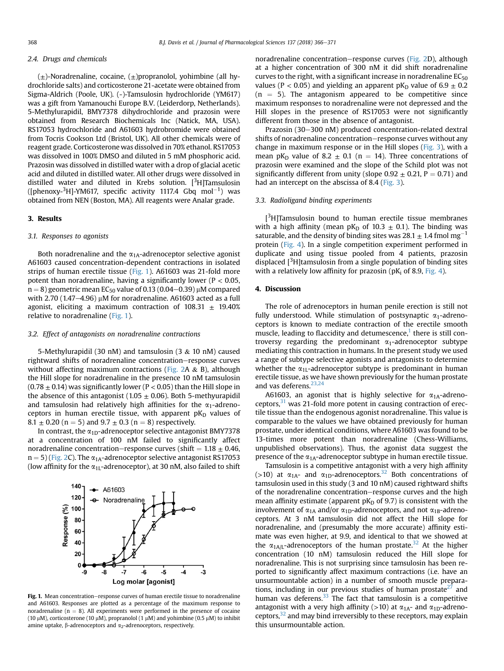#### 2.4. Drugs and chemicals

 $(\pm)$ -Noradrenaline, cocaine,  $(\pm)$ propranolol, yohimbine (all hydrochloride salts) and corticosterone 21-acetate were obtained from Sigma-Aldrich (Poole, UK). (-)-Tamsulosin hydrochloride (YM617) was a gift from Yamanouchi Europe B.V. (Leiderdorp, Netherlands). 5-Methylurapidil, BMY7378 dihydrochloride and prazosin were obtained from Research Biochemicals Inc (Natick, MA, USA). RS17053 hydrochloride and A61603 hydrobromide were obtained from Tocris Cookson Ltd (Bristol, UK). All other chemicals were of reagent grade. Corticosterone was dissolved in 70% ethanol. RS17053 was dissolved in 100% DMSO and diluted in 5 mM phosphoric acid. Prazosin was dissolved in distilled water with a drop of glacial acetic acid and diluted in distilled water. All other drugs were dissolved in distilled water and diluted in Krebs solution. [<sup>3</sup>H]Tamsulosin ([phenoxy- $^3$ H]-YM617, specific activity 1117.4 Gbq mol $^{-1})$  was obtained from NEN (Boston, MA). All reagents were Analar grade.

#### 3. Results

### 3.1. Responses to agonists

Both noradrenaline and the  $\alpha_{1A}$ -adrenoceptor selective agonist A61603 caused concentration-dependent contractions in isolated strips of human erectile tissue (Fig. 1). A61603 was 21-fold more potent than noradrenaline, having a significantly lower ( $P < 0.05$ ,  $n = 8$ ) geometric mean EC<sub>50</sub> value of 0.13 (0.04–0.39) µM compared with 2.70 (1.47 $-4.96$ ) µM for noradrenaline. A61603 acted as a full agonist, eliciting a maximum contraction of  $108.31 \pm 19.40\%$ relative to noradrenaline (Fig. 1).

#### 3.2. Effect of antagonists on noradrenaline contractions

5-Methylurapidil (30 nM) and tamsulosin (3 & 10 nM) caused rightward shifts of noradrenaline concentration-response curves without affecting maximum contractions ([Fig. 2](#page-4-0)A  $\&$  B), although the Hill slope for noradrenaline in the presence 10 nM tamsulosin  $(0.78 + 0.14)$  was significantly lower (P < 0.05) than the Hill slope in the absence of this antagonist (1.05  $\pm$  0.06). Both 5-methyurapidil and tamsulosin had relatively high affinities for the  $\alpha_1$ -adrenoceptors in human erectile tissue, with apparent  $pK_D$  values of 8.1  $\pm$  0.20 (n = 5) and 9.7  $\pm$  0.3 (n = 8) respectively.

In contrast, the  $\alpha_{1D}$ -adrenoceptor selective antagonist BMY7378 at a concentration of 100 nM failed to significantly affect noradrenaline concentration–response curves (shift  $= 1.18 \pm 0.46$ ,  $n = 5$ ) ([Fig. 2](#page-4-0)C). The  $\alpha_{1A}$ -adrenoceptor selective antagonist RS17053 (low affinity for the  $\alpha_{1L}$ -adrenoceptor), at 30 nM, also failed to shift



Fig. 1. Mean concentration-response curves of human erectile tissue to noradrenaline and A61603. Responses are plotted as a percentage of the maximum response to noradrenaline ( $n = 8$ ). All experiments were performed in the presence of cocaine (10  $\mu$ M), corticosterone (10  $\mu$ M), propranolol (1  $\mu$ M) and yohimbine (0.5  $\mu$ M) to inhibit amine uptake,  $\beta$ -adrenoceptors and  $\alpha_2$ -adrenoceptors, respectively.

noradrenaline concentration-response curves [\(Fig. 2](#page-4-0)D), although at a higher concentration of 300 nM it did shift noradrenaline curves to the right, with a significant increase in noradrenaline  $EC_{50}$ values (P < 0.05) and yielding an apparent pK<sub>D</sub> value of  $6.9 \pm 0.2$  $(n = 5)$ . The antagonism appeared to be competitive since maximum responses to noradrenaline were not depressed and the Hill slopes in the presence of RS17053 were not significantly different from those in the absence of antagonist.

Prazosin (30-300 nM) produced concentration-related dextral shifts of noradrenaline concentration–response curves without any change in maximum response or in the Hill slopes [\(Fig. 3\)](#page-5-0), with a mean pK<sub>D</sub> value of 8.2  $\pm$  0.1 (n = 14). Three concentrations of prazosin were examined and the slope of the Schild plot was not significantly different from unity (slope  $0.92 \pm 0.21$ , P = 0.71) and had an intercept on the abscissa of 8.4 ([Fig. 3](#page-5-0)).

#### 3.3. Radioligand binding experiments

 $[3H]$ Tamsulosin bound to human erectile tissue membranes with a high affinity (mean pK<sub>D</sub> of 10.3  $\pm$  0.1). The binding was saturable, and the density of binding sites was 28.1  $\pm$  1.4 fmol mg<sup>-1</sup> protein [\(Fig. 4\)](#page-5-0). In a single competition experiment performed in duplicate and using tissue pooled from 4 patients, prazosin displaced [<sup>3</sup>H]tamsulosin from a single population of binding sites with a relatively low affinity for prazosin (pK<sub>i</sub> of 8.9, [Fig. 4\)](#page-5-0).

# 4. Discussion

The role of adrenoceptors in human penile erection is still not fully understood. While stimulation of postsynaptic  $\alpha_1$ -adrenoceptors is known to mediate contraction of the erectile smooth muscle, leading to flaccidity and detumescence, $<sup>1</sup>$  $<sup>1</sup>$  $<sup>1</sup>$  there is still con-</sup> troversy regarding the predominant  $\alpha_1$ -adrenoceptor subtype mediating this contraction in humans. In the present study we used a range of subtype selective agonists and antagonists to determine whether the  $\alpha_{1L}$ -adrenoceptor subtype is predominant in human erectile tissue, as we have shown previously for the human prostate and vas deferens.<sup>23,24</sup>

A61603, an agonist that is highly selective for  $\alpha_{1A}$ -adrenoceptors, $31$  was 21-fold more potent in causing contraction of erectile tissue than the endogenous agonist noradrenaline. This value is comparable to the values we have obtained previously for human prostate, under identical conditions, where A61603 was found to be 13-times more potent than noradrenaline (Chess-Williams, unpublished observations). Thus, the agonist data suggest the presence of the  $\alpha_{1A}$ -adrenoceptor subtype in human erectile tissue.

Tamsulosin is a competitive antagonist with a very high affinity (>10) at  $\alpha_{1A}$ - and  $\alpha_{1D}$ -adrenoceptors.<sup>[32](#page-6-0)</sup> Both concentrations of tamsulosin used in this study (3 and 10 nM) caused rightward shifts of the noradrenaline concentration-response curves and the high mean affinity estimate (apparent  $pK_D$  of 9.7) is consistent with the involvement of  $\alpha_{1A}$  and/or  $\alpha_{1D}$ -adrenoceptors, and not  $\alpha_{1B}$ -adrenoceptors. At 3 nM tamsulosin did not affect the Hill slope for noradrenaline, and (presumably the more accurate) affinity estimate was even higher, at 9.9, and identical to that we showed at the  $\alpha_{1A/L}$ -adrenoceptors of the human prostate.<sup>32</sup> At the higher concentration (10 nM) tamsulosin reduced the Hill slope for noradrenaline. This is not surprising since tamsulosin has been reported to significantly affect maximum contractions (i.e. have an unsurmountable action) in a number of smooth muscle preparations, including in our previous studies of human prostate $27$  and human vas deferens. $33$  The fact that tamsulosin is a competitive antagonist with a very high affinity ( $>10$ ) at  $\alpha_{1A}$ - and  $\alpha_{1D}$ -adrenoceptors, $32$  and may bind irreversibly to these receptors, may explain this unsurmountable action.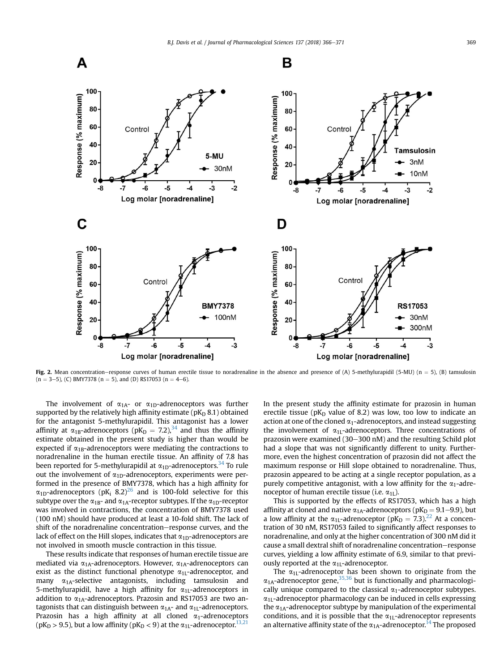<span id="page-4-0"></span>

Fig. 2. Mean concentration-response curves of human erectile tissue to noradrenaline in the absence and presence of (A) 5-methylurapidil (5-MU) (n = 5), (B) tamsulosin  $(n = 3-5)$ , (C) BMY7378  $(n = 5)$ , and (D) RS17053  $(n = 4-6)$ .

The involvement of  $\alpha_{1A}$ - or  $\alpha_{1D}$ -adrenoceptors was further supported by the relatively high affinity estimate ( $pK_D 8.1$ ) obtained for the antagonist 5-methylurapidil. This antagonist has a lower affinity at  $\alpha_{1B}$ -adrenoceptors (pK<sub>D</sub> = 7.2),<sup>34</sup> and thus the affinity estimate obtained in the present study is higher than would be expected if  $\alpha_{1B}$ -adrenoceptors were mediating the contractions to noradrenaline in the human erectile tissue. An affinity of 7.8 has been reported for 5-methylurapidil at  $\alpha_{1D}$ -adrenoceptors.<sup>[34](#page-6-0)</sup> To rule out the involvement of  $\alpha_{1D}$ -adrenoceptors, experiments were performed in the presence of BMY7378, which has a high affinity for  $\alpha_{1D}$ -adrenoceptors (pK<sub>i</sub> 8.2)<sup>26</sup> and is 100-fold selective for this subtype over the  $\alpha_{1B}$ - and  $\alpha_{1A}$ -receptor subtypes. If the  $\alpha_{1D}$ -receptor was involved in contractions, the concentration of BMY7378 used (100 nM) should have produced at least a 10-fold shift. The lack of shift of the noradrenaline concentration-response curves, and the lack of effect on the Hill slopes, indicates that  $\alpha_{1D}$ -adrenoceptors are not involved in smooth muscle contraction in this tissue.

These results indicate that responses of human erectile tissue are mediated via  $\alpha_{1A}$ -adrenoceptors. However,  $\alpha_{1A}$ -adrenoceptors can exist as the distinct functional phenotype  $\alpha_{1L}$ -adrenoceptor, and many  $\alpha_{1A}$ -selective antagonists, including tamsulosin and 5-methylurapidil, have a high affinity for  $\alpha_{1L}$ -adrenoceptors in addition to  $\alpha_{1A}$ -adrenoceptors. Prazosin and RS17053 are two antagonists that can distinguish between  $\alpha_{1A}$ - and  $\alpha_{1L}$ -adrenoceptors. Prazosin has a high affinity at all cloned  $\alpha_1$ -adrenoceptors ( $pK_D > 9.5$ ), but a low affinity ( $pK_D < 9$ ) at the  $\alpha_{1L}$ -adrenoceptor.<sup>13,21</sup>

In the present study the affinity estimate for prazosin in human erectile tissue ( $pK_D$  value of 8.2) was low, too low to indicate an action at one of the cloned  $\alpha_1$ -adrenoceptors, and instead suggesting the involvement of  $\alpha_{1L}$ -adrenoceptors. Three concentrations of prazosin were examined (30-300 nM) and the resulting Schild plot had a slope that was not significantly different to unity. Furthermore, even the highest concentration of prazosin did not affect the maximum response or Hill slope obtained to noradrenaline. Thus, prazosin appeared to be acting at a single receptor population, as a purely competitive antagonist, with a low affinity for the  $\alpha_1$ -adrenoceptor of human erectile tissue (i.e.  $\alpha_{1L}$ ).

This is supported by the effects of RS17053, which has a high affinity at cloned and native  $\alpha_{1A}$ -adrenoceptors (pK<sub>D</sub> = 9.1–9.9), but a low affinity at the  $\alpha_{1L}$ -adrenoceptor (p $K_D = 7.3$ ).<sup>[22](#page-6-0)</sup> At a concentration of 30 nM, RS17053 failed to significantly affect responses to noradrenaline, and only at the higher concentration of 300 nM did it cause a small dextral shift of noradrenaline concentration-response curves, yielding a low affinity estimate of 6.9, similar to that previously reported at the  $\alpha_{11}$ -adrenoceptor.

The  $\alpha_{1L}$ -adrenoceptor has been shown to originate from the  $\alpha_{1A}$ -adrenoceptor gene,<sup>35,36</sup> but is functionally and pharmacologically unique compared to the classical  $\alpha_1$ -adrenoceptor subtypes.  $\alpha_{1L}$ -adrenoceptor pharmacology can be induced in cells expressing the  $\alpha_{1A}$ -adrenoceptor subtype by manipulation of the experimental conditions, and it is possible that the  $\alpha_{1L}$ -adrenoceptor represents an alternative affinity state of the  $\alpha_{1A}$ -adrenoceptor.<sup>[14](#page-6-0)</sup> The proposed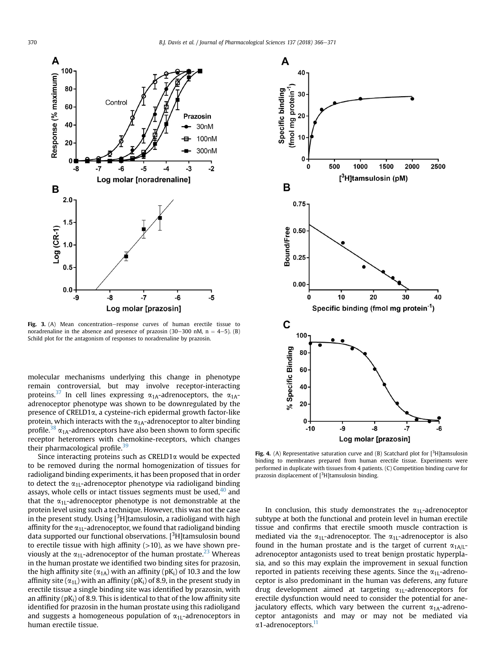<span id="page-5-0"></span>

Fig. 3. (A) Mean concentration–response curves of human erectile tissue to noradrenaline in the absence and presence of prazosin (30–300 nM,  $n = 4-5$ ). (B) Schild plot for the antagonism of responses to noradrenaline by prazosin.

molecular mechanisms underlying this change in phenotype remain controversial, but may involve receptor-interacting proteins.<sup>[37](#page-6-0)</sup> In cell lines expressing  $\alpha_{1A}$ -adrenoceptors, the  $\alpha_{1A}$ adrenoceptor phenotype was shown to be downregulated by the presence of CRELD1a, a cysteine-rich epidermal growth factor-like protein, which interacts with the  $\alpha_{1A}$ -adrenoceptor to alter binding profile.<sup>38</sup>  $\alpha_{1A}$ -adrenoceptors have also been shown to form specific receptor heteromers with chemokine-receptors, which changes their pharmacological profile. $39$ 

Since interacting proteins such as  $CRELD1\alpha$  would be expected to be removed during the normal homogenization of tissues for radioligand binding experiments, it has been proposed that in order to detect the  $\alpha_{1L}$ -adrenoceptor phenotype via radioligand binding assays, whole cells or intact tissues segments must be used, $40$  and that the  $\alpha_{1L}$ -adrenoceptor phenotype is not demonstrable at the protein level using such a technique. However, this was not the case in the present study. Using [<sup>3</sup>H]tamsulosin, a radioligand with high affinity for the  $\alpha_{11}$ -adrenoceptor, we found that radioligand binding data supported our functional observations. [<sup>3</sup>H]tamsulosin bound to erectile tissue with high affinity  $(>10)$ , as we have shown previously at the  $\alpha_{1L}$ -adrenoceptor of the human prostate.<sup>[23](#page-6-0)</sup> Whereas in the human prostate we identified two binding sites for prazosin, the high affinity site ( $\alpha_{1A}$ ) with an affinity ( $pK_i$ ) of 10.3 and the low affinity site ( $\alpha_{1L}$ ) with an affinity ( $pK_i$ ) of 8.9, in the present study in erectile tissue a single binding site was identified by prazosin, with an affinity ( $pK_i$ ) of 8.9. This is identical to that of the low affinity site identified for prazosin in the human prostate using this radioligand and suggests a homogeneous population of  $\alpha_{1L}$ -adrenoceptors in human erectile tissue.



Fig. 4. (A) Representative saturation curve and (B) Scatchard plot for  $[3H]$ tamsulosin binding to membranes prepared from human erectile tissue. Experiments were performed in duplicate with tissues from 4 patients. (C) Competition binding curve for prazosin displacement of  $[3H]$ tamsulosin binding.

In conclusion, this study demonstrates the  $\alpha_{11}$ -adrenoceptor subtype at both the functional and protein level in human erectile tissue and confirms that erectile smooth muscle contraction is mediated via the  $\alpha_{11}$ -adrenoceptor. The  $\alpha_{11}$ -adrenoceptor is also found in the human prostate and is the target of current  $\alpha_{1A/L}$ adrenoceptor antagonists used to treat benign prostatic hyperplasia, and so this may explain the improvement in sexual function reported in patients receiving these agents. Since the  $\alpha_{1L}$ -adrenoceptor is also predominant in the human vas deferens, any future drug development aimed at targeting  $\alpha_{1L}$ -adrenoceptors for erectile dysfunction would need to consider the potential for anejaculatory effects, which vary between the current  $\alpha_{1A}$ -adrenoceptor antagonists and may or may not be mediated via α1-adrenoceptors.<sup>[11](#page-6-0)</sup>